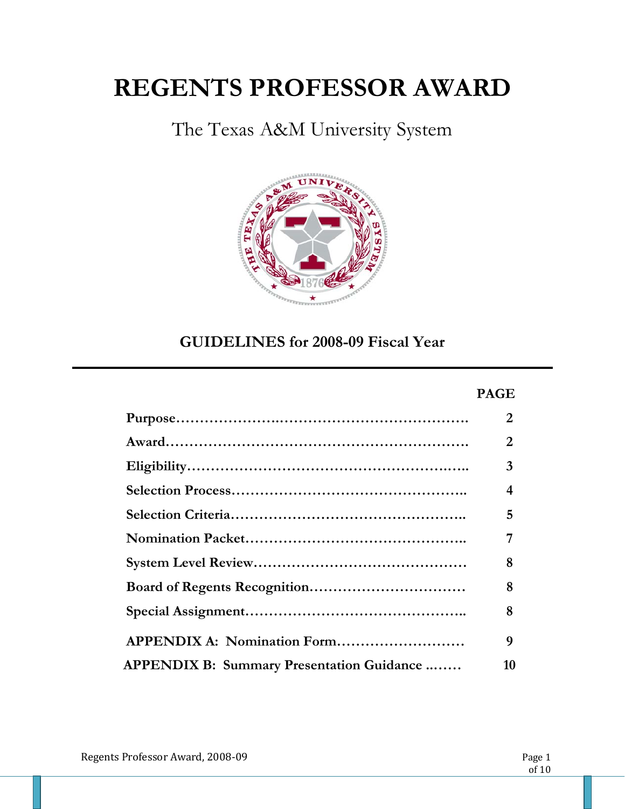# **REGENTS PROFESSOR AWARD**

The Texas A&M University System



**GUIDELINES for 2008-09 Fiscal Year** 

#### **PAGE**

|                                                   | 2  |
|---------------------------------------------------|----|
|                                                   | 2  |
|                                                   | 3  |
|                                                   | 4  |
|                                                   | 5  |
|                                                   |    |
|                                                   | 8  |
|                                                   | 8  |
|                                                   | 8  |
| <b>APPENDIX A: Nomination Form</b>                | 9  |
| <b>APPENDIX B: Summary Presentation Guidance </b> | 10 |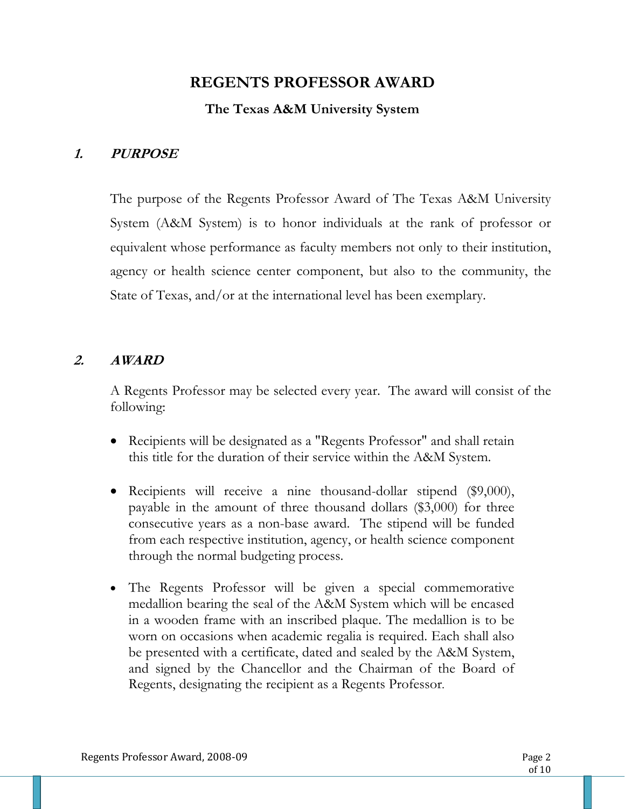### **REGENTS PROFESSOR AWARD**

### **The Texas A&M University System**

### **1. PURPOSE**

The purpose of the Regents Professor Award of The Texas A&M University System (A&M System) is to honor individuals at the rank of professor or equivalent whose performance as faculty members not only to their institution, agency or health science center component, but also to the community, the State of Texas, and/or at the international level has been exemplary.

### **2. AWARD**

A Regents Professor may be selected every year.The award will consist of the following:

- Recipients will be designated as a "Regents Professor" and shall retain this title for the duration of their service within the A&M System.
- Recipients will receive a nine thousand-dollar stipend (\$9,000), payable in the amount of three thousand dollars (\$3,000) for three consecutive years as a non-base award. The stipend will be funded from each respective institution, agency, or health science component through the normal budgeting process.
- The Regents Professor will be given a special commemorative medallion bearing the seal of the A&M System which will be encased in a wooden frame with an inscribed plaque. The medallion is to be worn on occasions when academic regalia is required. Each shall also be presented with a certificate, dated and sealed by the A&M System, and signed by the Chancellor and the Chairman of the Board of Regents, designating the recipient as a Regents Professor.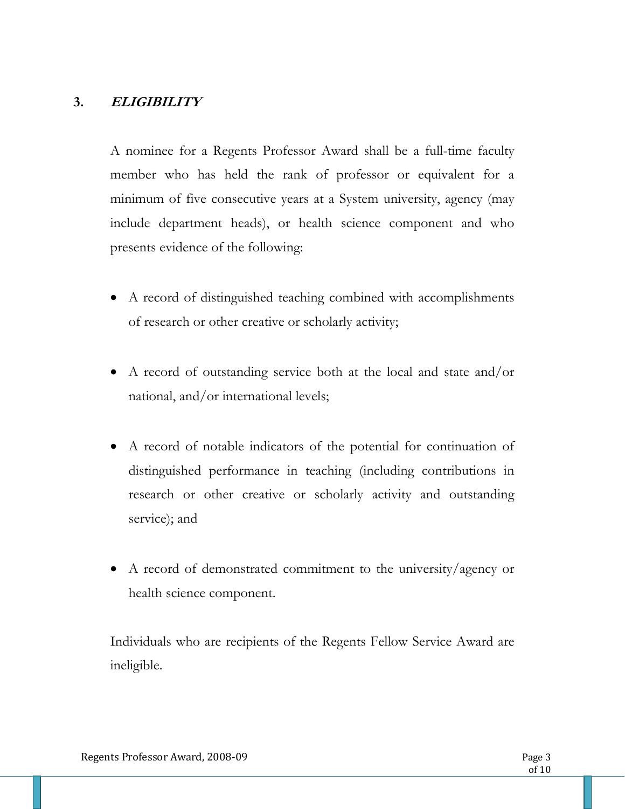### **3. ELIGIBILITY**

A nominee for a Regents Professor Award shall be a full-time faculty member who has held the rank of professor or equivalent for a minimum of five consecutive years at a System university, agency (may include department heads), or health science component and who presents evidence of the following:

- A record of distinguished teaching combined with accomplishments of research or other creative or scholarly activity;
- A record of outstanding service both at the local and state and/or national, and/or international levels;
- A record of notable indicators of the potential for continuation of distinguished performance in teaching (including contributions in research or other creative or scholarly activity and outstanding service); and
- A record of demonstrated commitment to the university/agency or health science component.

Individuals who are recipients of the Regents Fellow Service Award are ineligible.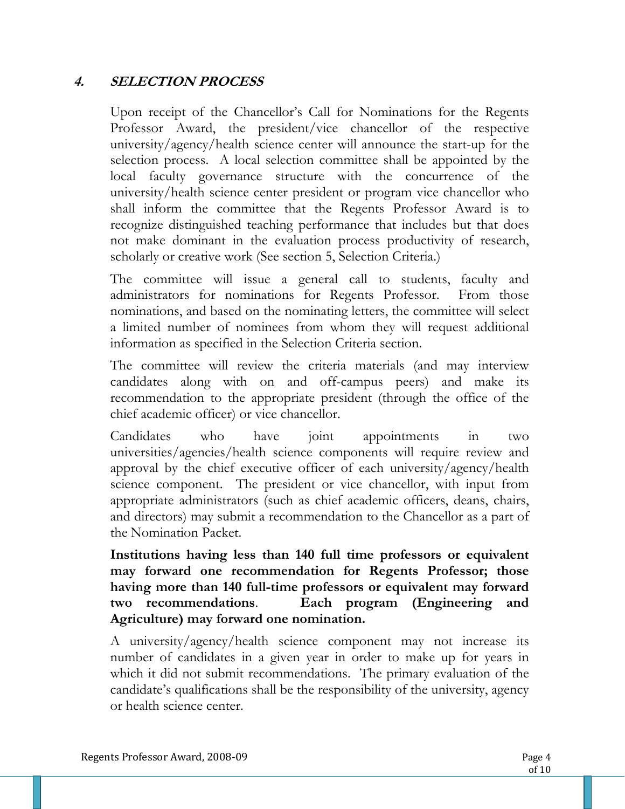### **4. SELECTION PROCESS**

Upon receipt of the Chancellor's Call for Nominations for the Regents Professor Award, the president/vice chancellor of the respective university/agency/health science center will announce the start-up for the selection process. A local selection committee shall be appointed by the local faculty governance structure with the concurrence of the university/health science center president or program vice chancellor who shall inform the committee that the Regents Professor Award is to recognize distinguished teaching performance that includes but that does not make dominant in the evaluation process productivity of research, scholarly or creative work (See section 5, Selection Criteria.)

The committee will issue a general call to students, faculty and administrators for nominations for Regents Professor. From those nominations, and based on the nominating letters, the committee will select a limited number of nominees from whom they will request additional information as specified in the Selection Criteria section.

The committee will review the criteria materials (and may interview candidates along with on and off-campus peers) and make its recommendation to the appropriate president (through the office of the chief academic officer) or vice chancellor.

Candidates who have joint appointments in two universities/agencies/health science components will require review and approval by the chief executive officer of each university/agency/health science component. The president or vice chancellor, with input from appropriate administrators (such as chief academic officers, deans, chairs, and directors) may submit a recommendation to the Chancellor as a part of the Nomination Packet.

**Institutions having less than 140 full time professors or equivalent may forward one recommendation for Regents Professor; those having more than 140 full-time professors or equivalent may forward two recommendations**. **Each program (Engineering and Agriculture) may forward one nomination.** 

A university/agency/health science component may not increase its number of candidates in a given year in order to make up for years in which it did not submit recommendations. The primary evaluation of the candidate's qualifications shall be the responsibility of the university, agency or health science center.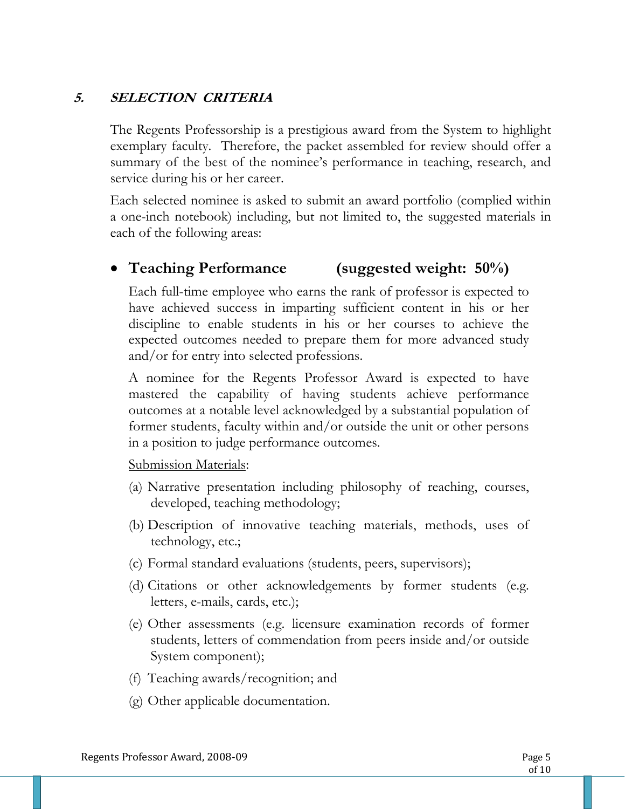### **5. SELECTION CRITERIA**

The Regents Professorship is a prestigious award from the System to highlight exemplary faculty. Therefore, the packet assembled for review should offer a summary of the best of the nominee's performance in teaching, research, and service during his or her career.

Each selected nominee is asked to submit an award portfolio (complied within a one-inch notebook) including, but not limited to, the suggested materials in each of the following areas:

### **Teaching Performance (suggested weight: 50%)**

Each full-time employee who earns the rank of professor is expected to have achieved success in imparting sufficient content in his or her discipline to enable students in his or her courses to achieve the expected outcomes needed to prepare them for more advanced study and/or for entry into selected professions.

A nominee for the Regents Professor Award is expected to have mastered the capability of having students achieve performance outcomes at a notable level acknowledged by a substantial population of former students, faculty within and/or outside the unit or other persons in a position to judge performance outcomes.

Submission Materials:

- (a) Narrative presentation including philosophy of reaching, courses, developed, teaching methodology;
- (b) Description of innovative teaching materials, methods, uses of technology, etc.;
- (c) Formal standard evaluations (students, peers, supervisors);
- (d) Citations or other acknowledgements by former students (e.g. letters, e-mails, cards, etc.);
- (e) Other assessments (e.g. licensure examination records of former students, letters of commendation from peers inside and/or outside System component);
- (f) Teaching awards/recognition; and
- (g) Other applicable documentation.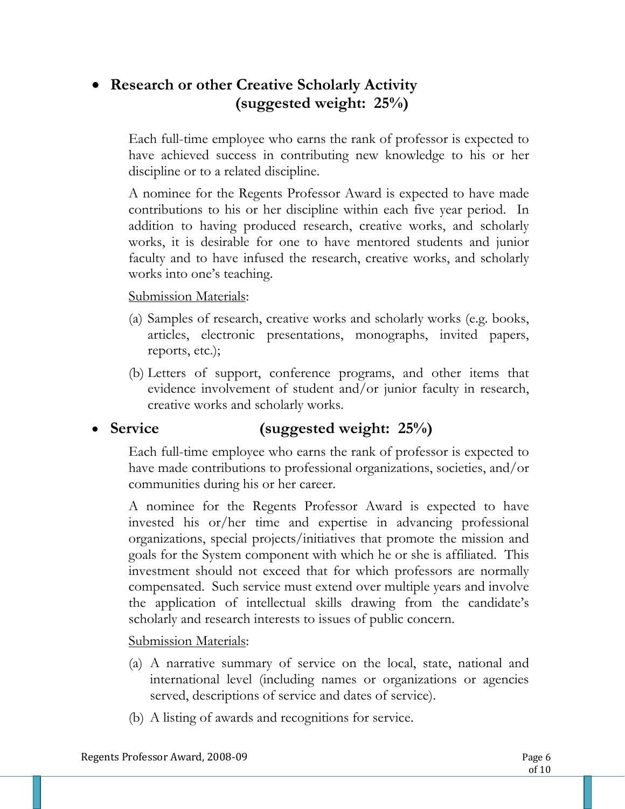### **Research or other Creative Scholarly Activity (suggested weight: 25%)**

Each full-time employee who earns the rank of professor is expected to have achieved success in contributing new knowledge to his or her discipline or to a related discipline.

A nominee for the Regents Professor Award is expected to have made contributions to his or her discipline within each five year period. In addition to having produced research, creative works, and scholarly works, it is desirable for one to have mentored students and junior faculty and to have infused the research, creative works, and scholarly works into one's teaching.

#### Submission Materials:

- (a) Samples of research, creative works and scholarly works (e.g. books, articles, electronic presentations, monographs, invited papers, reports, etc.);
- (b) Letters of support, conference programs, and other items that evidence involvement of student and/or junior faculty in research, creative works and scholarly works.

### **Service (suggested weight: 25%)**

Each full-time employee who earns the rank of professor is expected to have made contributions to professional organizations, societies, and/or communities during his or her career.

A nominee for the Regents Professor Award is expected to have invested his or/her time and expertise in advancing professional organizations, special projects/initiatives that promote the mission and goals for the System component with which he or she is affiliated. This investment should not exceed that for which professors are normally compensated. Such service must extend over multiple years and involve the application of intellectual skills drawing from the candidate's scholarly and research interests to issues of public concern.

Submission Materials:

- (a) A narrative summary of service on the local, state, national and international level (including names or organizations or agencies served, descriptions of service and dates of service).
- (b) A listing of awards and recognitions for service.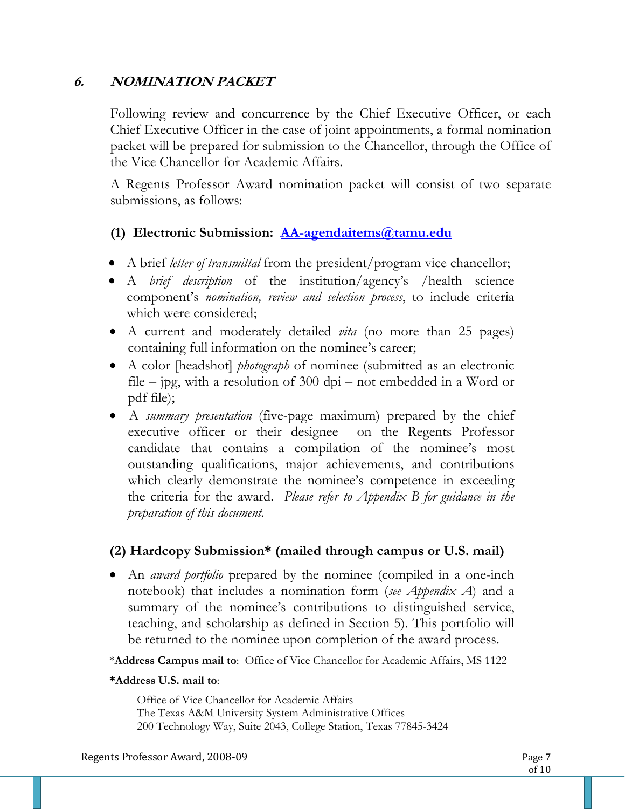### **6. NOMINATION PACKET**

Following review and concurrence by the Chief Executive Officer, or each Chief Executive Officer in the case of joint appointments, a formal nomination packet will be prepared for submission to the Chancellor, through the Office of the Vice Chancellor for Academic Affairs.

A Regents Professor Award nomination packet will consist of two separate submissions, as follows:

### **(1) Electronic Submission: AA-agendaitems@tamu.edu**

- A brief *letter of transmittal* from the president/program vice chancellor;
- A *brief description* of the institution/agency's /health science component's *nomination, review and selection process*, to include criteria which were considered;
- A current and moderately detailed *vita* (no more than 25 pages) containing full information on the nominee's career;
- A color [headshot] *photograph* of nominee (submitted as an electronic file – jpg, with a resolution of 300 dpi – not embedded in a Word or pdf file);
- A *summary presentation* (five-page maximum) prepared by the chief executive officer or their designee on the Regents Professor candidate that contains a compilation of the nominee's most outstanding qualifications, major achievements, and contributions which clearly demonstrate the nominee's competence in exceeding the criteria for the award. *Please refer to Appendix B for guidance in the preparation of this document.*

### **(2) Hardcopy Submission\* (mailed through campus or U.S. mail)**

 An *award portfolio* prepared by the nominee (compiled in a one-inch notebook) that includes a nomination form (*see Appendix A*) and a summary of the nominee's contributions to distinguished service, teaching, and scholarship as defined in Section 5). This portfolio will be returned to the nominee upon completion of the award process.

\***Address Campus mail to**: Office of Vice Chancellor for Academic Affairs, MS 1122

#### **\*Address U.S. mail to**:

Office of Vice Chancellor for Academic Affairs The Texas A&M University System Administrative Offices 200 Technology Way, Suite 2043, College Station, Texas 77845-3424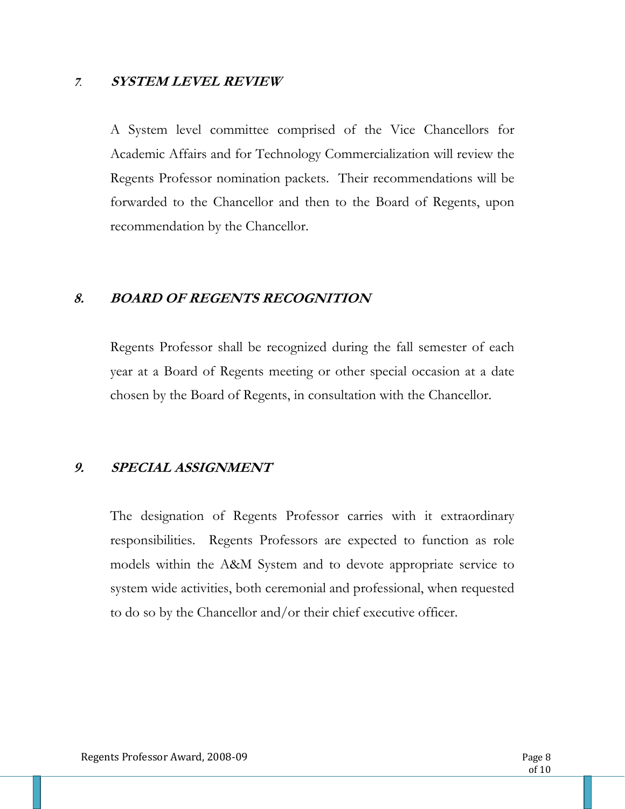#### **<sup>7</sup>**. **SYSTEM LEVEL REVIEW**

A System level committee comprised of the Vice Chancellors for Academic Affairs and for Technology Commercialization will review the Regents Professor nomination packets. Their recommendations will be forwarded to the Chancellor and then to the Board of Regents, upon recommendation by the Chancellor.

#### **8. BOARD OF REGENTS RECOGNITION**

Regents Professor shall be recognized during the fall semester of each year at a Board of Regents meeting or other special occasion at a date chosen by the Board of Regents, in consultation with the Chancellor.

#### **9. SPECIAL ASSIGNMENT**

The designation of Regents Professor carries with it extraordinary responsibilities. Regents Professors are expected to function as role models within the A&M System and to devote appropriate service to system wide activities, both ceremonial and professional, when requested to do so by the Chancellor and/or their chief executive officer.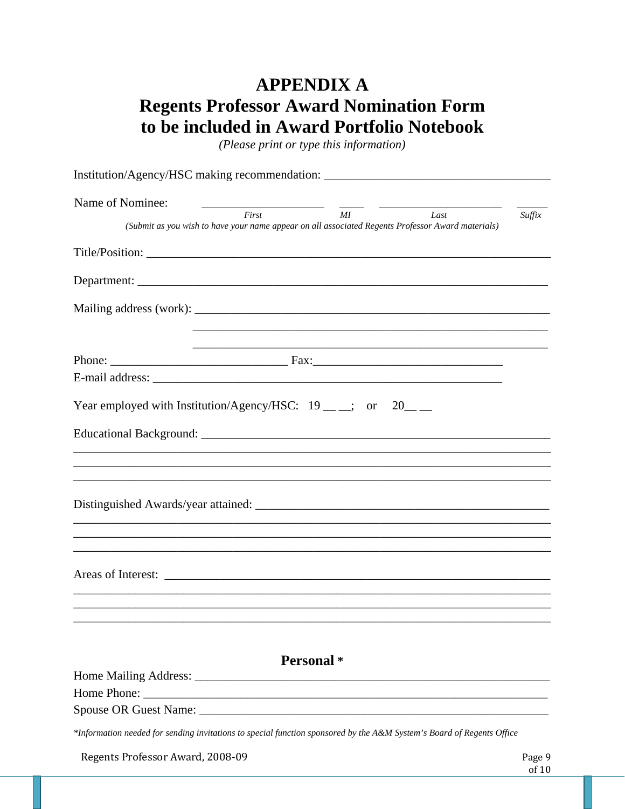## **APPENDIX A Regents Professor Award Nomination Form** to be included in Award Portfolio Notebook

(Please print or type this information)

| Institution/Agency/HSC making recommendation: __________________________________                                                                  |        |
|---------------------------------------------------------------------------------------------------------------------------------------------------|--------|
| Name of Nominee:                                                                                                                                  |        |
| $\frac{1}{MI}$<br>$\overline{First}$<br>Last<br>(Submit as you wish to have your name appear on all associated Regents Professor Award materials) | Suffix |
|                                                                                                                                                   |        |
|                                                                                                                                                   |        |
|                                                                                                                                                   |        |
|                                                                                                                                                   |        |
|                                                                                                                                                   |        |
|                                                                                                                                                   |        |
| Year employed with Institution/Agency/HSC: $19 \_\_\_\_\_\_\$ ; or $20 \_\_\_\_\$                                                                 |        |
|                                                                                                                                                   |        |
|                                                                                                                                                   |        |
|                                                                                                                                                   |        |
|                                                                                                                                                   |        |
|                                                                                                                                                   |        |
|                                                                                                                                                   |        |
|                                                                                                                                                   |        |
|                                                                                                                                                   |        |
|                                                                                                                                                   |        |
|                                                                                                                                                   |        |
| <b>Personal</b> *                                                                                                                                 |        |
|                                                                                                                                                   |        |
|                                                                                                                                                   |        |
|                                                                                                                                                   |        |
| *Information needed for sending invitations to special function sponsored by the A&M System's Board of Regents Office                             |        |
|                                                                                                                                                   |        |

Page 9 Regents Professor Award, 2008-09 of  $10$